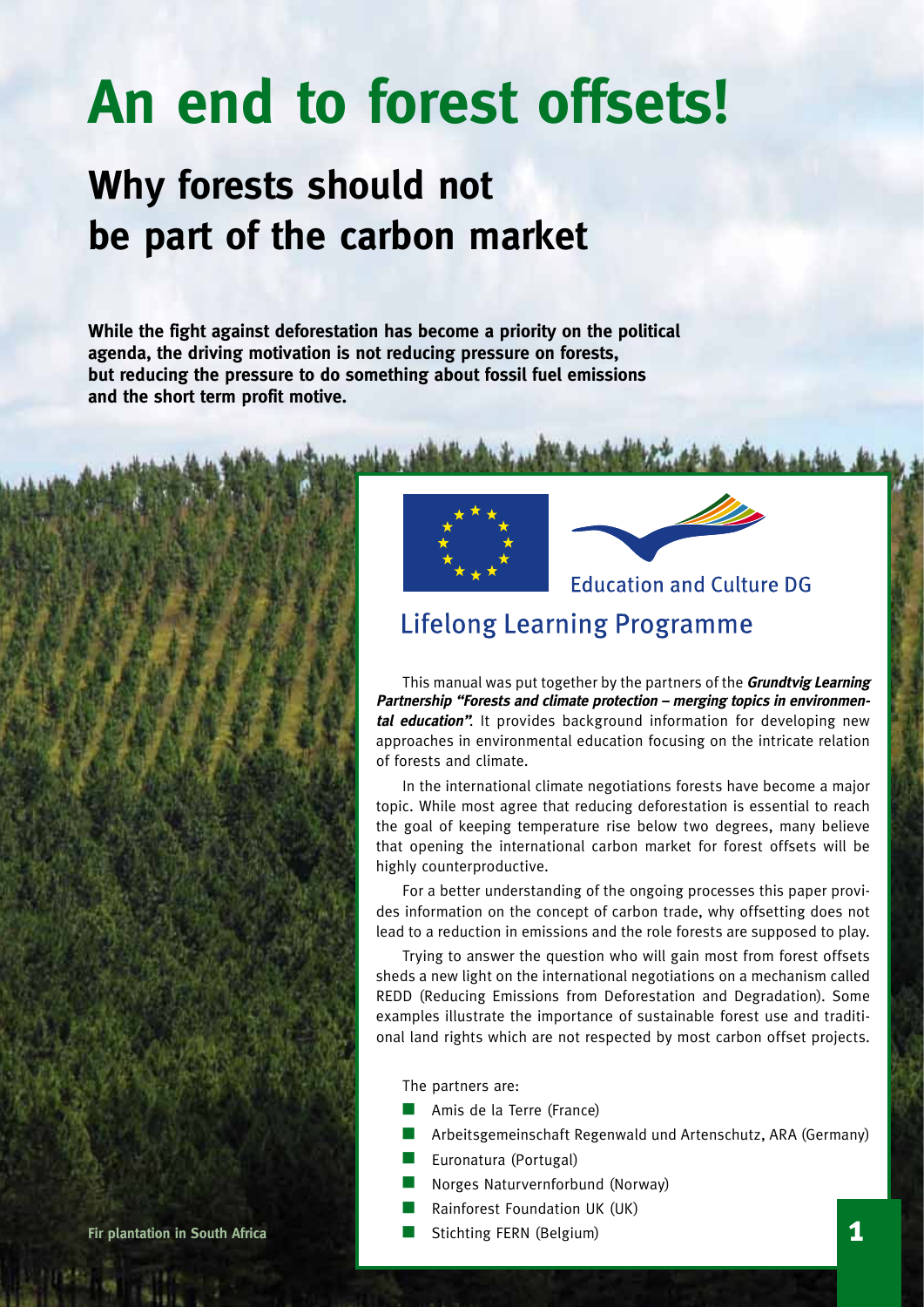# **An end to forest offsets!**

### **Why forests should not be part of the carbon market**

**While the fight against deforestation has become a priority on the political agenda, the driving motivation is not reducing pressure on forests, but reducing the pressure to do something about fossil fuel emissions and the short term profit motive.**





**Education and Culture DG** 

### **Lifelong Learning Programme**

This manual was put together by the partners of the **Grundtvig Learning Partnership "Forests and climate protection – merging topics in environmental education"**. It provides background information for developing new approaches in environmental education focusing on the intricate relation of forests and climate.

In the international climate negotiations forests have become a major topic. While most agree that reducing deforestation is essential to reach the goal of keeping temperature rise below two degrees, many believe that opening the international carbon market for forest offsets will be highly counterproductive.

For a better understanding of the ongoing processes this paper provides information on the concept of carbon trade, why offsetting does not lead to a reduction in emissions and the role forests are supposed to play.

Trying to answer the question who will gain most from forest offsets sheds a new light on the international negotiations on a mechanism called REDD (Reducing Emissions from Deforestation and Degradation). Some examples illustrate the importance of sustainable forest use and traditional land rights which are not respected by most carbon offset projects.

The partners are:

- Amis de la Terre (France)
- Arbeitsgemeinschaft Regenwald und Artenschutz, ARA (Germany)
- Euronatura (Portugal)
- n Norges Naturvernforbund (Norway)
- Rainforest Foundation UK (UK)
- **Fir plantation in South Africa n Stichting FERN** (Belgium) **1**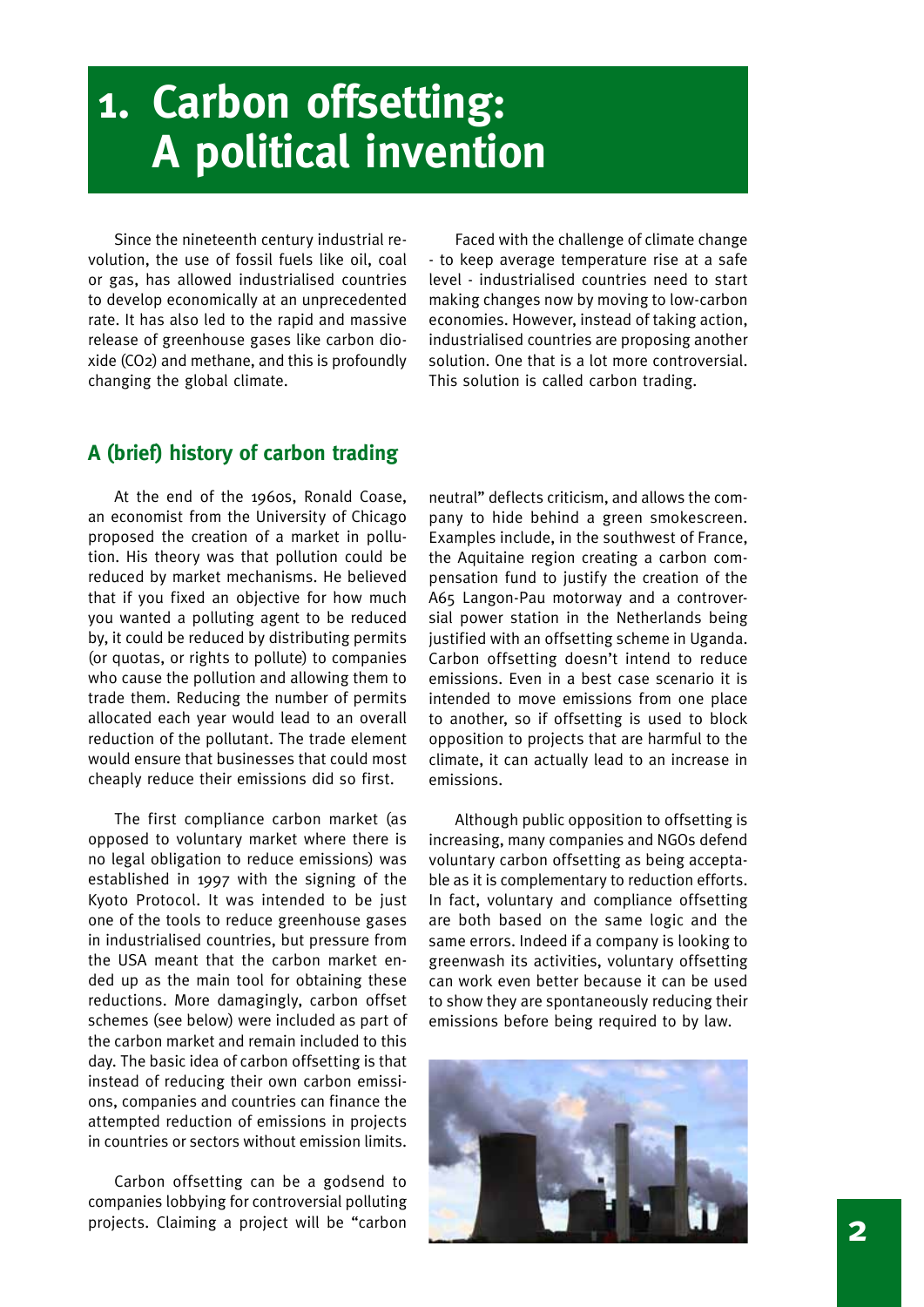## **1. Carbon offsetting: A political invention**

Since the nineteenth century industrial revolution, the use of fossil fuels like oil, coal or gas, has allowed industrialised countries to develop economically at an unprecedented rate. It has also led to the rapid and massive release of greenhouse gases like carbon dioxide (CO2) and methane, and this is profoundly changing the global climate.

Faced with the challenge of climate change - to keep average temperature rise at a safe level - industrialised countries need to start making changes now by moving to low-carbon economies. However, instead of taking action, industrialised countries are proposing another solution. One that is a lot more controversial. This solution is called carbon trading.

### **A (brief) history of carbon trading**

At the end of the 1960s, Ronald Coase, an economist from the University of Chicago proposed the creation of a market in pollution. His theory was that pollution could be reduced by market mechanisms. He believed that if you fixed an objective for how much you wanted a polluting agent to be reduced by, it could be reduced by distributing permits (or quotas, or rights to pollute) to companies who cause the pollution and allowing them to trade them. Reducing the number of permits allocated each year would lead to an overall reduction of the pollutant. The trade element would ensure that businesses that could most cheaply reduce their emissions did so first.

The first compliance carbon market (as opposed to voluntary market where there is no legal obligation to reduce emissions) was established in 1997 with the signing of the Kyoto Protocol. It was intended to be just one of the tools to reduce greenhouse gases in industrialised countries, but pressure from the USA meant that the carbon market ended up as the main tool for obtaining these reductions. More damagingly, carbon offset schemes (see below) were included as part of the carbon market and remain included to this day. The basic idea of carbon offsetting is that instead of reducing their own carbon emissions, companies and countries can finance the attempted reduction of emissions in projects in countries or sectors without emission limits.

Carbon offsetting can be a godsend to companies lobbying for controversial polluting projects. Claiming a project will be "carbon neutral" deflects criticism, and allows the company to hide behind a green smokescreen. Examples include, in the southwest of France, the Aquitaine region creating a carbon compensation fund to justify the creation of the A65 Langon-Pau motorway and a controversial power station in the Netherlands being justified with an offsetting scheme in Uganda. Carbon offsetting doesn't intend to reduce emissions. Even in a best case scenario it is intended to move emissions from one place to another, so if offsetting is used to block opposition to projects that are harmful to the climate, it can actually lead to an increase in emissions.

Although public opposition to offsetting is increasing, many companies and NGOs defend voluntary carbon offsetting as being acceptable as it is complementary to reduction efforts. In fact, voluntary and compliance offsetting are both based on the same logic and the same errors. Indeed if a company is looking to greenwash its activities, voluntary offsetting can work even better because it can be used to show they are spontaneously reducing their emissions before being required to by law.

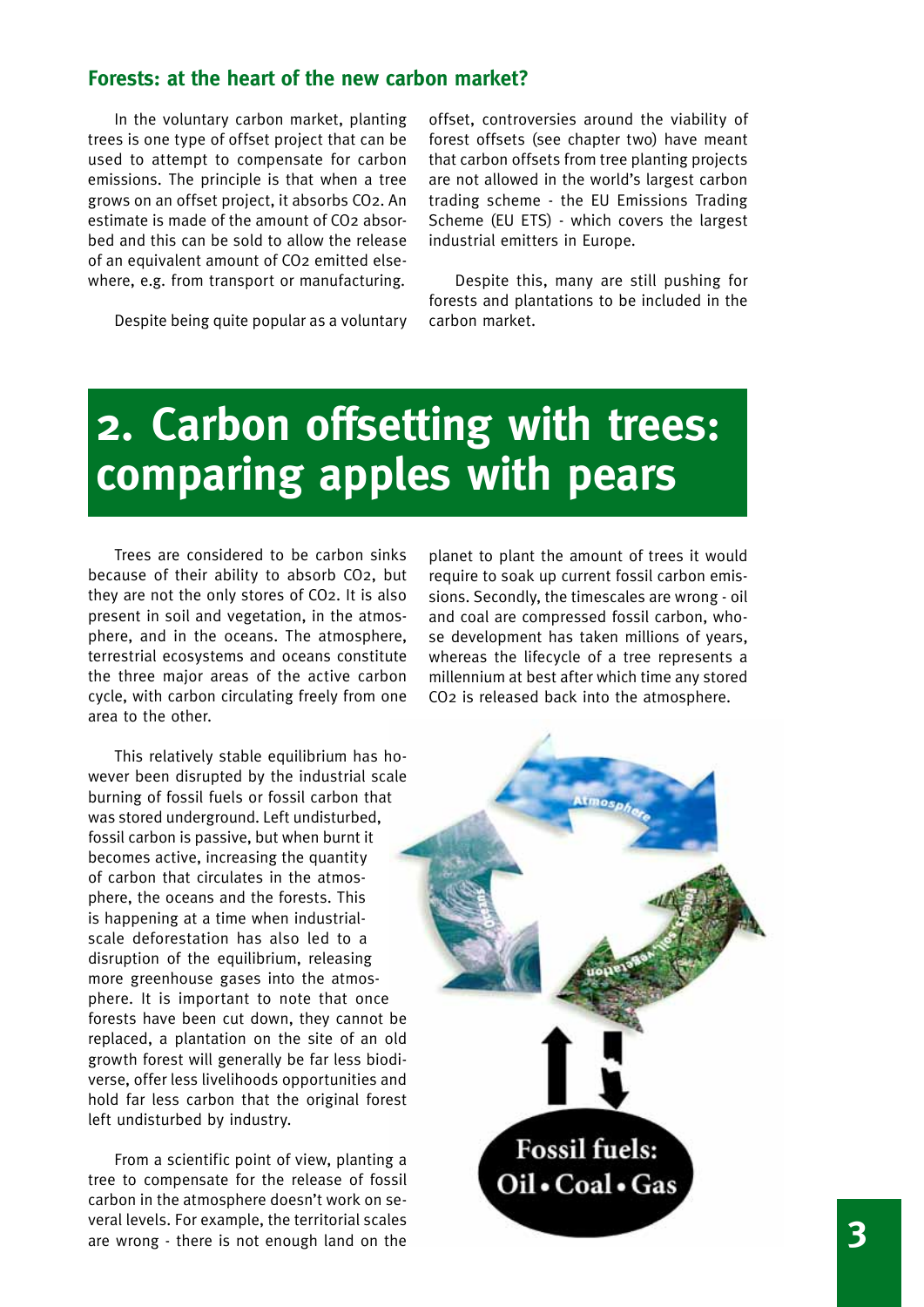#### **Forests: at the heart of the new carbon market?**

In the voluntary carbon market, planting trees is one type of offset project that can be used to attempt to compensate for carbon emissions. The principle is that when a tree grows on an offset project, it absorbs CO2. An estimate is made of the amount of CO2 absorbed and this can be sold to allow the release of an equivalent amount of CO2 emitted elsewhere, e.g. from transport or manufacturing.

Despite being quite popular as a voluntary

offset, controversies around the viability of forest offsets (see chapter two) have meant that carbon offsets from tree planting projects are not allowed in the world's largest carbon trading scheme - the EU Emissions Trading Scheme (EU ETS) - which covers the largest industrial emitters in Europe.

Despite this, many are still pushing for forests and plantations to be included in the carbon market.

### **2. Carbon offsetting with trees: comparing apples with pears**

Trees are considered to be carbon sinks because of their ability to absorb CO2, but they are not the only stores of CO2. It is also present in soil and vegetation, in the atmosphere, and in the oceans. The atmosphere, terrestrial ecosystems and oceans constitute the three major areas of the active carbon cycle, with carbon circulating freely from one area to the other.

This relatively stable equilibrium has however been disrupted by the industrial scale burning of fossil fuels or fossil carbon that was stored underground. Left undisturbed, fossil carbon is passive, but when burnt it becomes active, increasing the quantity of carbon that circulates in the atmosphere, the oceans and the forests. This is happening at a time when industrialscale deforestation has also led to a disruption of the equilibrium, releasing more greenhouse gases into the atmosphere. It is important to note that once forests have been cut down, they cannot be replaced, a plantation on the site of an old growth forest will generally be far less biodiverse, offer less livelihoods opportunities and hold far less carbon that the original forest left undisturbed by industry.

From a scientific point of view, planting a tree to compensate for the release of fossil carbon in the atmosphere doesn't work on several levels. For example, the territorial scales are wrong - there is not enough land on the planet to plant the amount of trees it would require to soak up current fossil carbon emissions. Secondly, the timescales are wrong - oil and coal are compressed fossil carbon, whose development has taken millions of years, whereas the lifecycle of a tree represents a millennium at best after which time any stored CO2 is released back into the atmosphere.

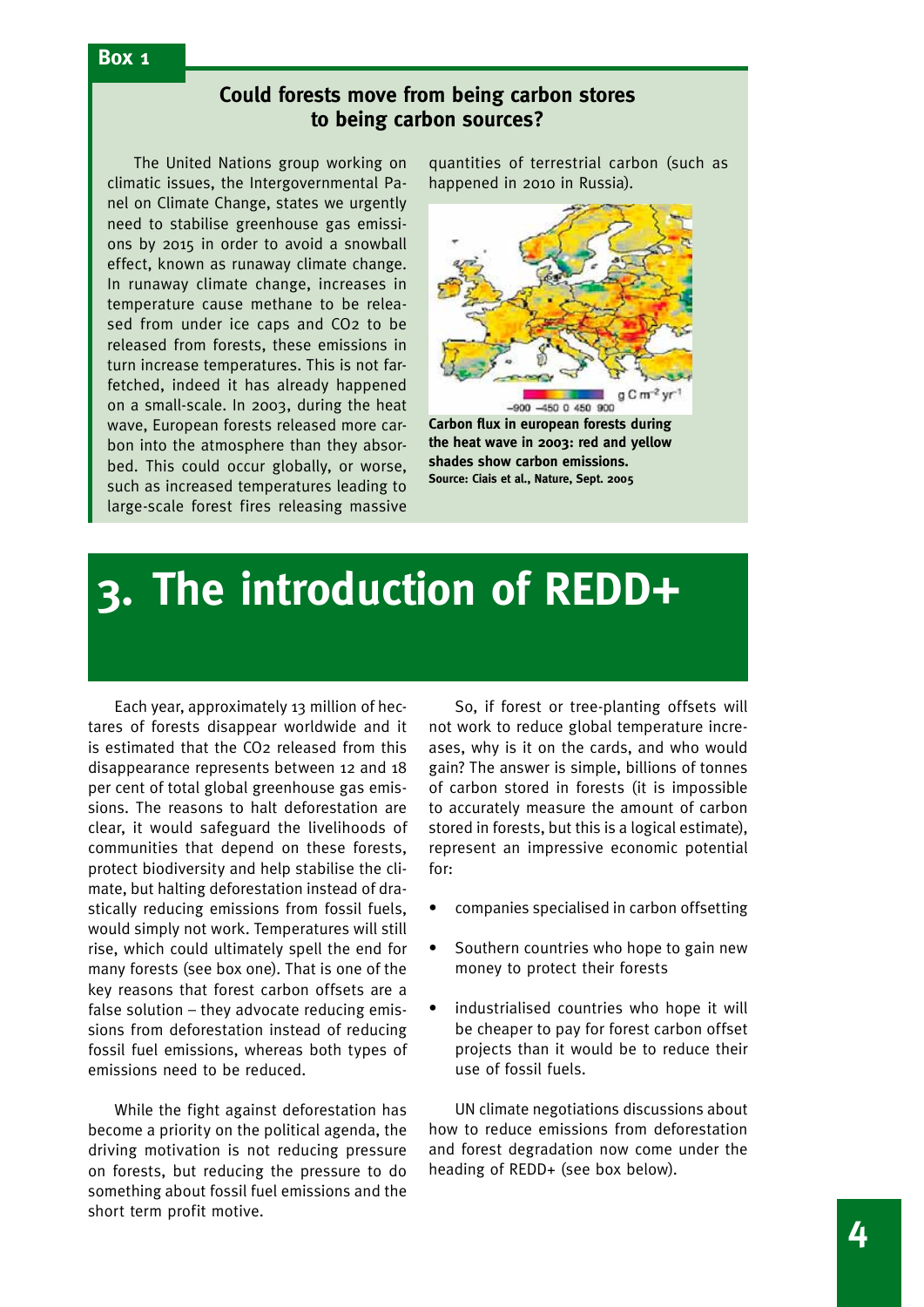#### **Box 1**

#### **Could forests move from being carbon stores to being carbon sources?**

The United Nations group working on climatic issues, the Intergovernmental Panel on Climate Change, states we urgently need to stabilise greenhouse gas emissions by 2015 in order to avoid a snowball effect, known as runaway climate change. In runaway climate change, increases in temperature cause methane to be released from under ice caps and CO2 to be released from forests, these emissions in turn increase temperatures. This is not farfetched, indeed it has already happened on a small-scale. In 2003, during the heat wave, European forests released more carbon into the atmosphere than they absorbed. This could occur globally, or worse, such as increased temperatures leading to large-scale forest fires releasing massive quantities of terrestrial carbon (such as happened in 2010 in Russia).



**Carbon flux in european forests during the heat wave in 2003: red and yellow shades show carbon emissions. Source: Ciais et al., Nature, Sept. 2005**

### **3. The introduction of REDD+**

Each year, approximately 13 million of hectares of forests disappear worldwide and it is estimated that the CO2 released from this disappearance represents between 12 and 18 per cent of total global greenhouse gas emissions. The reasons to halt deforestation are clear, it would safeguard the livelihoods of communities that depend on these forests, protect biodiversity and help stabilise the climate, but halting deforestation instead of drastically reducing emissions from fossil fuels, would simply not work. Temperatures will still rise, which could ultimately spell the end for many forests (see box one). That is one of the key reasons that forest carbon offsets are a false solution – they advocate reducing emissions from deforestation instead of reducing fossil fuel emissions, whereas both types of emissions need to be reduced.

While the fight against deforestation has become a priority on the political agenda, the driving motivation is not reducing pressure on forests, but reducing the pressure to do something about fossil fuel emissions and the short term profit motive.

So, if forest or tree-planting offsets will not work to reduce global temperature increases, why is it on the cards, and who would gain? The answer is simple, billions of tonnes of carbon stored in forests (it is impossible to accurately measure the amount of carbon stored in forests, but this is a logical estimate), represent an impressive economic potential for:

- companies specialised in carbon offsetting
- Southern countries who hope to gain new money to protect their forests
- industrialised countries who hope it will be cheaper to pay for forest carbon offset projects than it would be to reduce their use of fossil fuels.

UN climate negotiations discussions about how to reduce emissions from deforestation and forest degradation now come under the heading of REDD+ (see box below).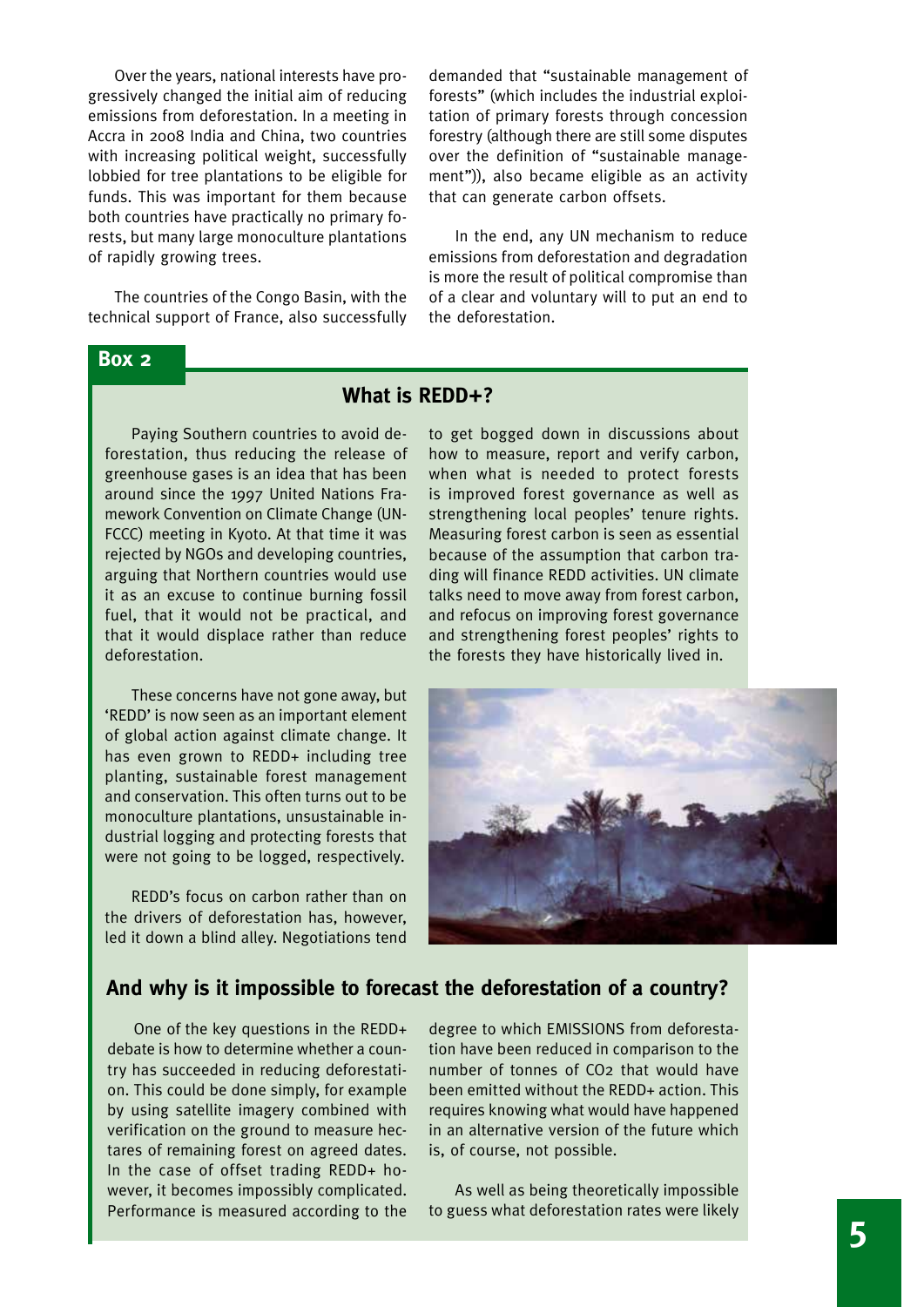Over the years, national interests have progressively changed the initial aim of reducing emissions from deforestation. In a meeting in Accra in 2008 India and China, two countries with increasing political weight, successfully lobbied for tree plantations to be eligible for funds. This was important for them because both countries have practically no primary forests, but many large monoculture plantations of rapidly growing trees.

The countries of the Congo Basin, with the technical support of France, also successfully demanded that "sustainable management of forests" (which includes the industrial exploitation of primary forests through concession forestry (although there are still some disputes over the definition of "sustainable management")), also became eligible as an activity that can generate carbon offsets.

In the end, any UN mechanism to reduce emissions from deforestation and degradation is more the result of political compromise than of a clear and voluntary will to put an end to the deforestation.

#### **Box 2**

#### **What is REDD+?**

Paying Southern countries to avoid deforestation, thus reducing the release of greenhouse gases is an idea that has been around since the 1997 United Nations Framework Convention on Climate Change (UN-FCCC) meeting in Kyoto. At that time it was rejected by NGOs and developing countries, arguing that Northern countries would use it as an excuse to continue burning fossil fuel, that it would not be practical, and that it would displace rather than reduce deforestation.

These concerns have not gone away, but 'REDD' is now seen as an important element of global action against climate change. It has even grown to REDD+ including tree planting, sustainable forest management and conservation. This often turns out to be monoculture plantations, unsustainable industrial logging and protecting forests that were not going to be logged, respectively.

REDD's focus on carbon rather than on the drivers of deforestation has, however, led it down a blind alley. Negotiations tend to get bogged down in discussions about how to measure, report and verify carbon, when what is needed to protect forests is improved forest governance as well as strengthening local peoples' tenure rights. Measuring forest carbon is seen as essential because of the assumption that carbon trading will finance REDD activities. UN climate talks need to move away from forest carbon, and refocus on improving forest governance and strengthening forest peoples' rights to the forests they have historically lived in.



#### **And why is it impossible to forecast the deforestation of a country?**

One of the key questions in the REDD+ debate is how to determine whether a country has succeeded in reducing deforestation. This could be done simply, for example by using satellite imagery combined with verification on the ground to measure hectares of remaining forest on agreed dates. In the case of offset trading REDD+ however, it becomes impossibly complicated. Performance is measured according to the

degree to which EMISSIONS from deforestation have been reduced in comparison to the number of tonnes of CO2 that would have been emitted without the REDD+ action. This requires knowing what would have happened in an alternative version of the future which is, of course, not possible.

As well as being theoretically impossible to guess what deforestation rates were likely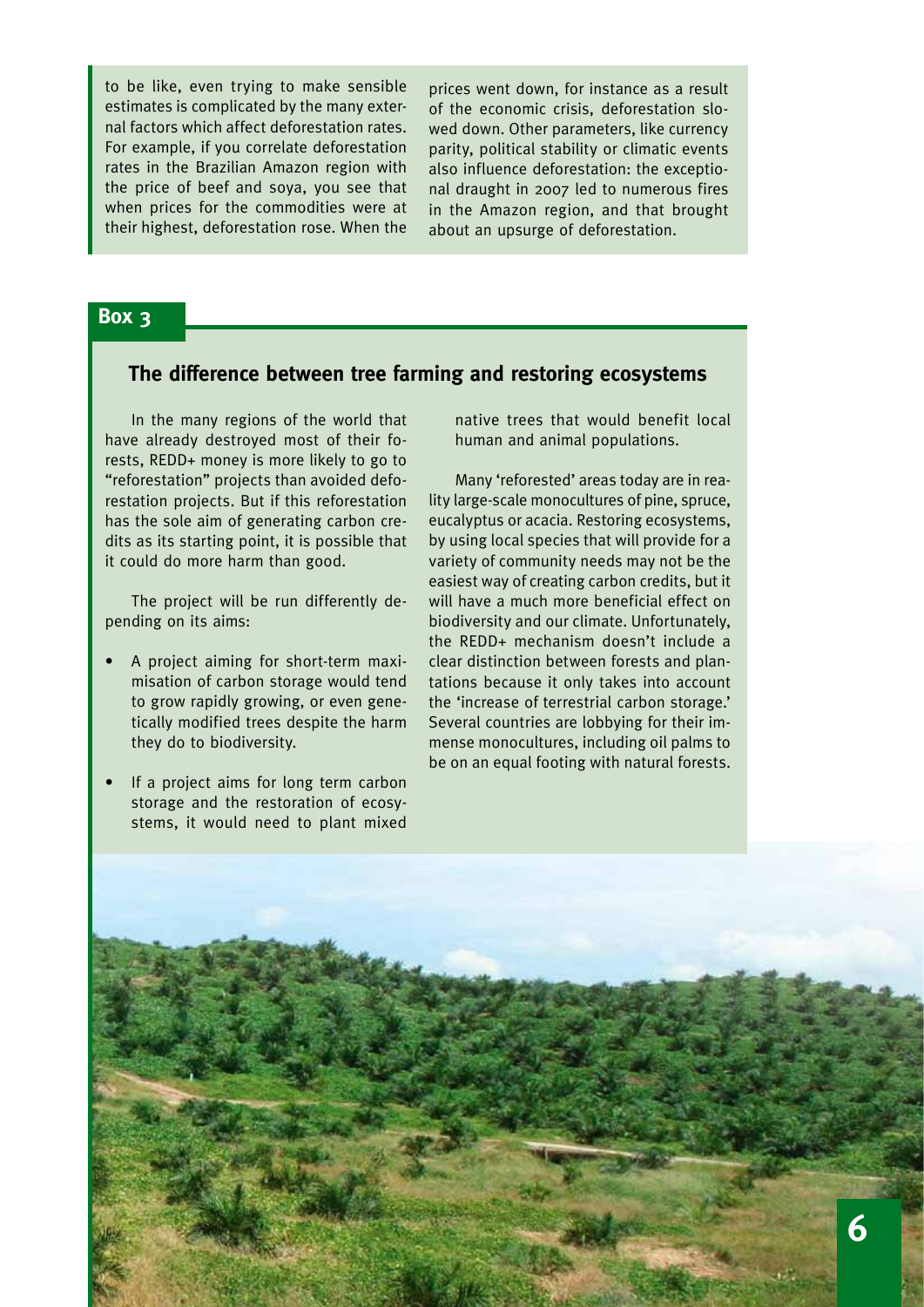to be like, even trying to make sensible estimates is complicated by the many external factors which affect deforestation rates. For example, if you correlate deforestation rates in the Brazilian Amazon region with the price of beef and soya, you see that when prices for the commodities were at their highest, deforestation rose. When the prices went down, for instance as a result of the economic crisis, deforestation slowed down. Other parameters, like currency parity, political stability or climatic events also influence deforestation: the exceptional draught in 2007 led to numerous fires in the Amazon region, and that brought about an upsurge of deforestation.

#### **Box 3**

#### **The difference between tree farming and restoring ecosystems**

In the many regions of the world that have already destroyed most of their forests, REDD+ money is more likely to go to "reforestation" projects than avoided deforestation projects. But if this reforestation has the sole aim of generating carbon credits as its starting point, it is possible that it could do more harm than good.

The project will be run differently depending on its aims:

- A project aiming for short-term maximisation of carbon storage would tend to grow rapidly growing, or even genetically modified trees despite the harm they do to biodiversity.
- If a project aims for long term carbon storage and the restoration of ecosystems, it would need to plant mixed

native trees that would benefit local human and animal populations.

Many 'reforested' areas today are in reality large-scale monocultures of pine, spruce, eucalyptus or acacia. Restoring ecosystems, by using local species that will provide for a variety of community needs may not be the easiest way of creating carbon credits, but it will have a much more beneficial effect on biodiversity and our climate. Unfortunately, the REDD+ mechanism doesn't include a clear distinction between forests and plantations because it only takes into account the 'increase of terrestrial carbon storage.' Several countries are lobbying for their immense monocultures, including oil palms to be on an equal footing with natural forests.

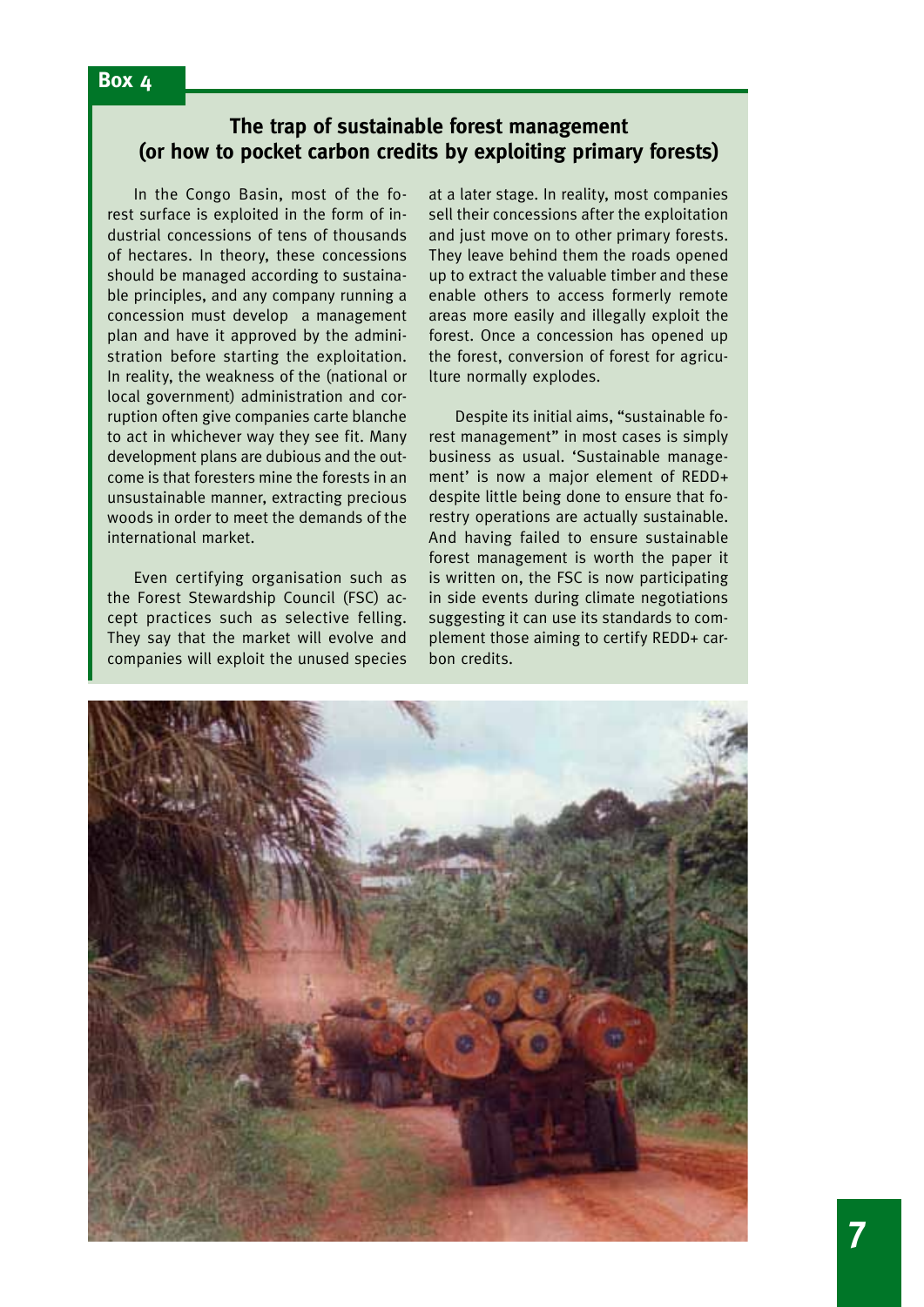### **The trap of sustainable forest management (or how to pocket carbon credits by exploiting primary forests)**

In the Congo Basin, most of the forest surface is exploited in the form of industrial concessions of tens of thousands of hectares. In theory, these concessions should be managed according to sustainable principles, and any company running a concession must develop a management plan and have it approved by the administration before starting the exploitation. In reality, the weakness of the (national or local government) administration and corruption often give companies carte blanche to act in whichever way they see fit. Many development plans are dubious and the outcome is that foresters mine the forests in an unsustainable manner, extracting precious woods in order to meet the demands of the international market.

Even certifying organisation such as the Forest Stewardship Council (FSC) accept practices such as selective felling. They say that the market will evolve and companies will exploit the unused species at a later stage. In reality, most companies sell their concessions after the exploitation and just move on to other primary forests. They leave behind them the roads opened up to extract the valuable timber and these enable others to access formerly remote areas more easily and illegally exploit the forest. Once a concession has opened up the forest, conversion of forest for agriculture normally explodes.

Despite its initial aims, "sustainable forest management" in most cases is simply business as usual. 'Sustainable management' is now a major element of REDD+ despite little being done to ensure that forestry operations are actually sustainable. And having failed to ensure sustainable forest management is worth the paper it is written on, the FSC is now participating in side events during climate negotiations suggesting it can use its standards to complement those aiming to certify REDD+ carbon credits.

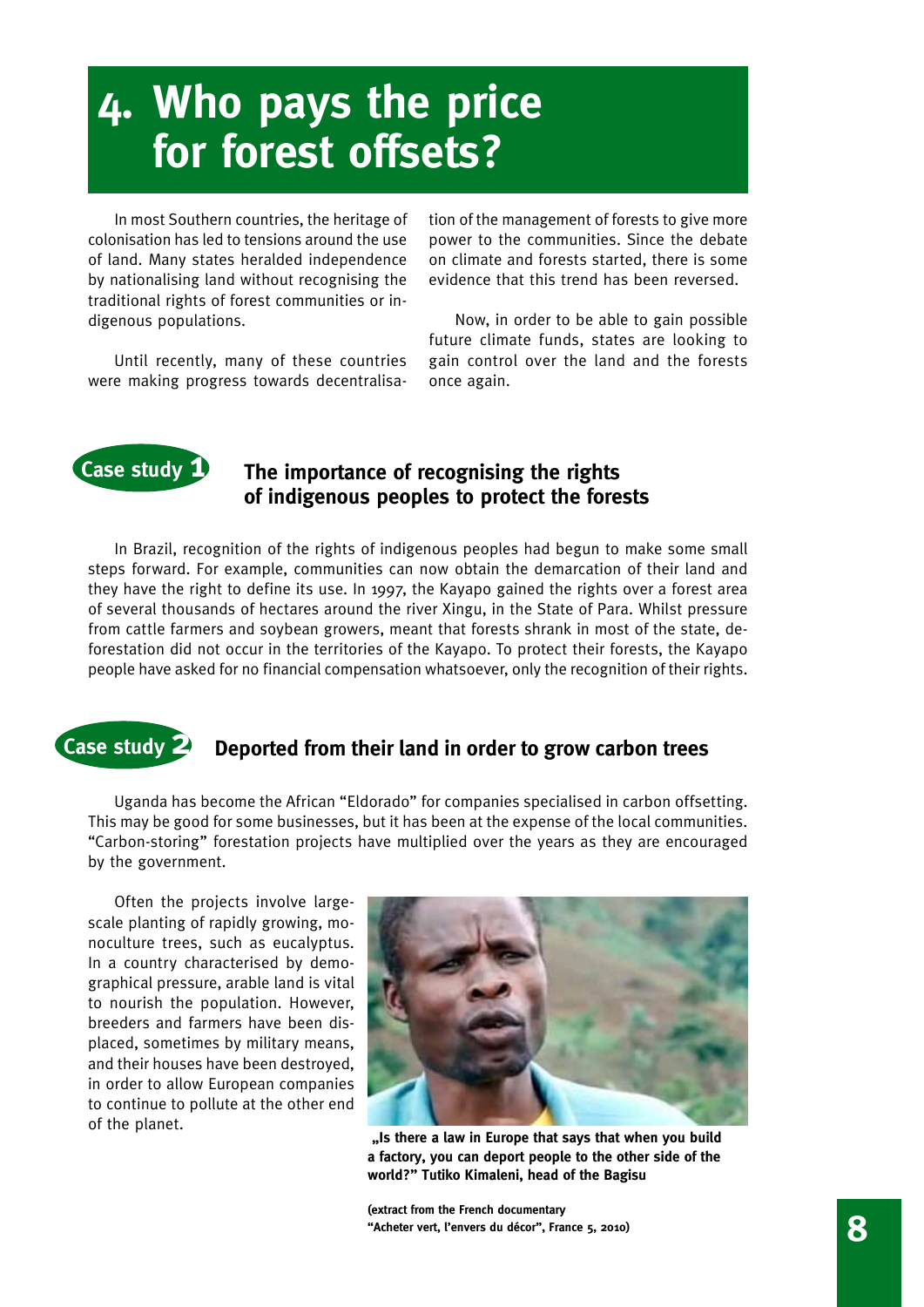# **4. Who pays the price for forest offsets?**

In most Southern countries, the heritage of colonisation has led to tensions around the use of land. Many states heralded independence by nationalising land without recognising the traditional rights of forest communities or indigenous populations.

Until recently, many of these countries were making progress towards decentralisation of the management of forests to give more power to the communities. Since the debate on climate and forests started, there is some evidence that this trend has been reversed.

Now, in order to be able to gain possible future climate funds, states are looking to gain control over the land and the forests once again.

### **Case study 1 The importance of recognising the rights of indigenous peoples to protect the forests**

In Brazil, recognition of the rights of indigenous peoples had begun to make some small steps forward. For example, communities can now obtain the demarcation of their land and they have the right to define its use. In 1997, the Kayapo gained the rights over a forest area of several thousands of hectares around the river Xingu, in the State of Para. Whilst pressure from cattle farmers and soybean growers, meant that forests shrank in most of the state, deforestation did not occur in the territories of the Kayapo. To protect their forests, the Kayapo people have asked for no financial compensation whatsoever, only the recognition of their rights.

### **Case study 2 Deported from their land in order to grow carbon trees**

Uganda has become the African "Eldorado" for companies specialised in carbon offsetting. This may be good for some businesses, but it has been at the expense of the local communities. "Carbon-storing" forestation projects have multiplied over the years as they are encouraged by the government.

Often the projects involve largescale planting of rapidly growing, monoculture trees, such as eucalyptus. In a country characterised by demographical pressure, arable land is vital to nourish the population. However, breeders and farmers have been displaced, sometimes by military means, and their houses have been destroyed, in order to allow European companies to continue to pollute at the other end of the planet.



 **"Is there a law in Europe that says that when you build a factory, you can deport people to the other side of the world?" Tutiko Kimaleni, head of the Bagisu** 

**(extract from the French documentary "Acheter vert, l'envers du décor", France 5, 2010) 8**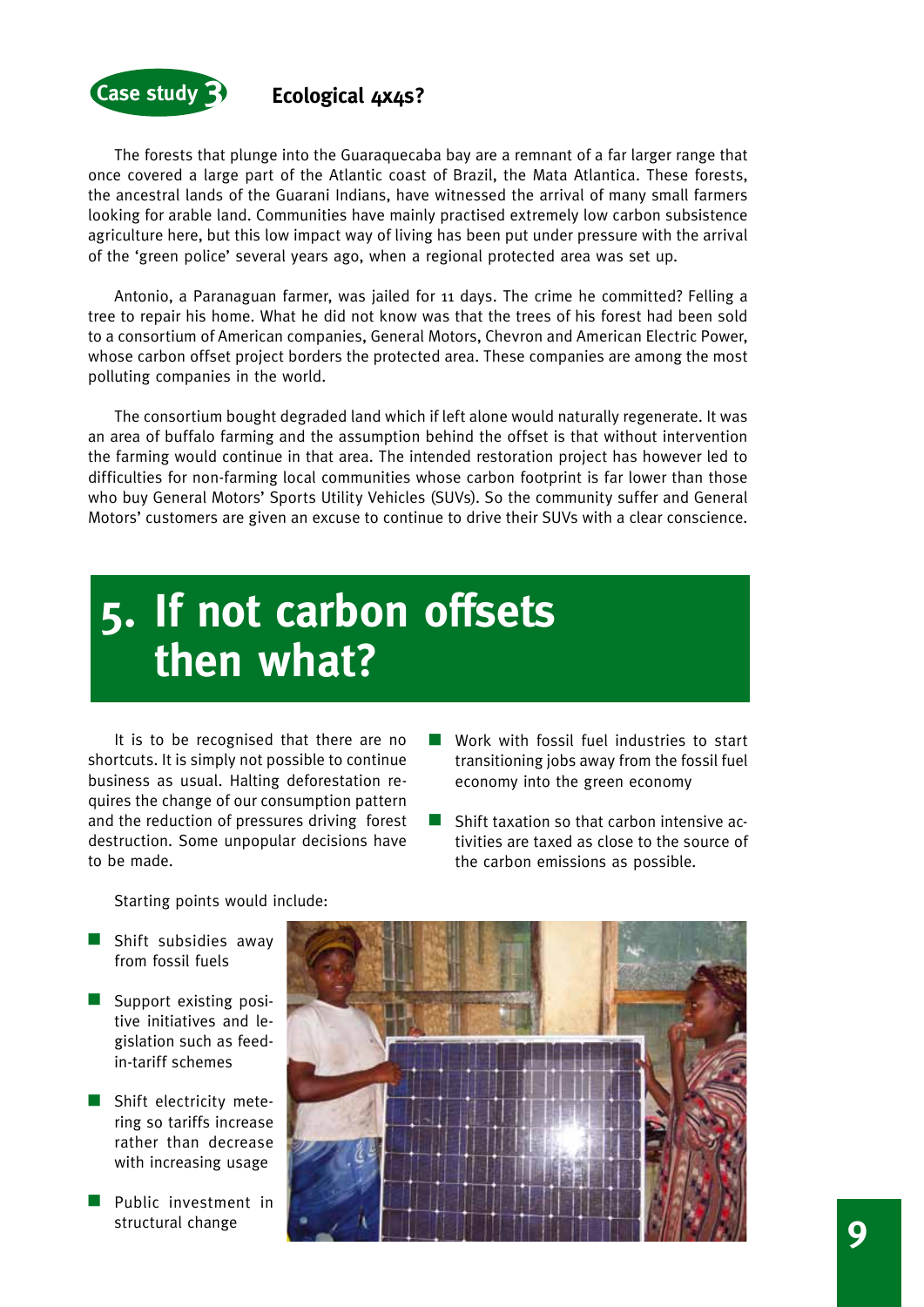

The forests that plunge into the Guaraquecaba bay are a remnant of a far larger range that once covered a large part of the Atlantic coast of Brazil, the Mata Atlantica. These forests, the ancestral lands of the Guarani Indians, have witnessed the arrival of many small farmers looking for arable land. Communities have mainly practised extremely low carbon subsistence agriculture here, but this low impact way of living has been put under pressure with the arrival of the 'green police' several years ago, when a regional protected area was set up.

Antonio, a Paranaguan farmer, was jailed for 11 days. The crime he committed? Felling a tree to repair his home. What he did not know was that the trees of his forest had been sold to a consortium of American companies, General Motors, Chevron and American Electric Power, whose carbon offset project borders the protected area. These companies are among the most polluting companies in the world.

The consortium bought degraded land which if left alone would naturally regenerate. It was an area of buffalo farming and the assumption behind the offset is that without intervention the farming would continue in that area. The intended restoration project has however led to difficulties for non-farming local communities whose carbon footprint is far lower than those who buy General Motors' Sports Utility Vehicles (SUVs). So the community suffer and General Motors' customers are given an excuse to continue to drive their SUVs with a clear conscience.

## **5. If not carbon offsets then what?**

It is to be recognised that there are no shortcuts. It is simply not possible to continue business as usual. Halting deforestation requires the change of our consumption pattern and the reduction of pressures driving forest destruction. Some unpopular decisions have to be made.

- $\blacksquare$  Work with fossil fuel industries to start transitioning jobs away from the fossil fuel economy into the green economy
- $\blacksquare$  Shift taxation so that carbon intensive activities are taxed as close to the source of the carbon emissions as possible.

Starting points would include:

- $\blacksquare$  Shift subsidies away from fossil fuels
- $\blacksquare$  Support existing positive initiatives and legislation such as feedin-tariff schemes
- $\blacksquare$  Shift electricity metering so tariffs increase rather than decrease with increasing usage
- $\blacksquare$  Public investment in structural change